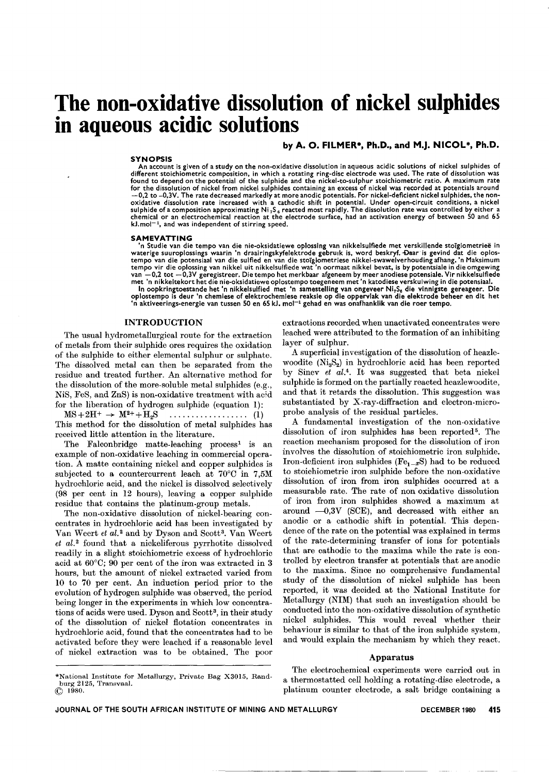# **The non-oxidative dissolution of nickel sulphides in aqueous acidic solutions**

by A. O. FILMER\*, Ph.D., and M.J. NICOL\*, Ph.D.

## SYNOPSIS

An account is given of a study on the non-oxidative dissolution in aqueous acidic solutions of nickel sulphides of different stoichiometric composition, in which a rotating ring-disc electrode was used. The rate of dissolution was found to depend on the potential of the sulphide and the nickel-to-sulphur stoichiometric ratio. A maximum rate for the dissolution of nickel from nickel sulphides containing an excess of nickel was recorded at potentials around —0,2 to –0,3V. The rate decreased markedly at more anodic potentials. For nickel-deficient nickel sulphides, the non-<br>oxidative dissolution rate increased with a cathodic shift in potential. Under open-circuit chemical or an electrochemical reaction at the electrode surface, had an activation energy of between 50 and 65  $kJ$ .mol $^{-1}$ , and was independent of stirring speed.

#### SAMEVATTING

'n Studie van die tempo van die nie-oksidatiewe oplossing van nikkelsulfiede met verskillende stoigiometriee in waterige suuroplossings waarin 'n draairingskyfelektrode gebruik is, word beskryf. Daar is gevind dat die oplostempo van die potensiaal van die sulfied en van die stoigiometriese nikkel-swawelverhouding afhang. 'n Maksimum tempo vir die oplossing van nikkel uit nikkelsulfiede wat 'n oormaat nikkel bevat, is by potentsiale in die omgewing

van -0,2 tot -0,3V geregistreer. Die tempo het merkbaar afgeneem by meer anodiese potensiale. Vir nikkelsulfiede<br>met 'n nikkeltekort het die nie-oksidatiewe oplostempo toegeneem met 'n katodiese verskuliving in die potensi

# INTRODUCTION

The usual hydrometallurgical route for the extraction of metals from their sulphide ores requires the oxidation of the sulphide to either elemental sulphur or sulphate. The dissolved metal can then be separated from the residue and treated further. An alternative method for the dissolution of the more-soluble metal sulphides (e.g., NiS, FeS, and ZnS) is non-oxidative treatment with acid for the liberation of hydrogen sulphide (equation 1):

MS+2H+ -+ M2++H2S (1) This method for the dissolution of metal sulphides has received little attention in the literature.

The Falconbridge matte-leaching process<sup>1</sup> is an example of non-oxidative leaching in commercial operation. A matte containing nickel and copper sulphides is subjected to a countercurrent leach at 70°0 in *7,5M* hydrochloric acid, and the nickel is dissolved selectively (98 per cent in 12 hours), leaving a copper sulphide residue that contains the platinum-group metals.

The non-oxidative dissolution of nickel-bearing concentrates in hydrochloric acid has been investigated by Van Weert *et al.2* and by Dyson and Scott3. Van Weert *et al.2* found that a nickeliferous pyrrhotite dissolved readily in a slight stoichiometric excess of hydrochloric acid at 60°0; 90 per cent of the iron was extracted in 3 hours, but the amount of nickel extracted varied from 10 to 70 per cent. An induction period prior to the evolution of hydrogen sulphide was observed, the period being longer in the experiments in which low concentrations of acids were used. Dyson and Scott<sup>3</sup>, in their study of the dissolution of nickel flotation concentrates in hydrochloric acid, found that the concentrates had to be activated before they were leached if a reasonable level of nickel extraction was to be obtained. The poor

extractions recorded when unactivated concentrates were leached were attributed to the formation of an inhibiting layer of sulphur.

A superficial investigation of the dissolution of heazlewoodite  $(Ni<sub>3</sub>S<sub>2</sub>)$  in hydrochloric acid has been reported by Sinev *et al.4.* It was suggested that beta nickel sulphide is formed on the partially reacted heazlewoodite, and that it retards the dissolution. This suggestion was substantiated by X-ray-diffraction and electron-microprobe analysis of the residual particles.

A fundamental investigation of the non-oxidative dissolution of iron sulphides has been reported<sup>5</sup>. The reaction mechanism proposed for the dissolution of iron involves the dissolution of stoichiometric iron sulphide. Iron-deficient iron sulphides ( $Fe<sub>1-x</sub>S$ ) had to be reduced to stoichiometric iron sulphide before the non-oxidative dissolution of iron from iron sulphides occurred at a measurable rate. The rate of non oxidative dissolution of iron from iron sulphides showed a maximum at around  $-0.3V$  (SCE), and decreased with either an anodic or a cathodic shift in potential. This dependence of the rate on the potential was explained in terms of the rate-determining transfer of ions for potentials that are cathodic to the maxima while the rate is controlled by electron transfer at potentials that are anodic to the maxima. Since no comprehensive fundamental study of the dissolution of nickel sulphide has been reported, it was decided at the National Institute for Metallurgy (NIM) that such an investigation should be conducted into the non-oxidative dissolution of synthetic nickel sulphides. This would reveal whether their behaviour is similar to that of the iron sulphide system, and would explain the mechanism by which they react.

# Apparatus

The electrochemical experiments were carried out in a thermostatted cell holding a rotating-disc electrode, a platinum counter electrode, a salt bridge containing a

<sup>\*</sup>Nationa1 Institute for Metallurgy, Private Bag X3015, Randburg 2125, Transva<br>© 1980.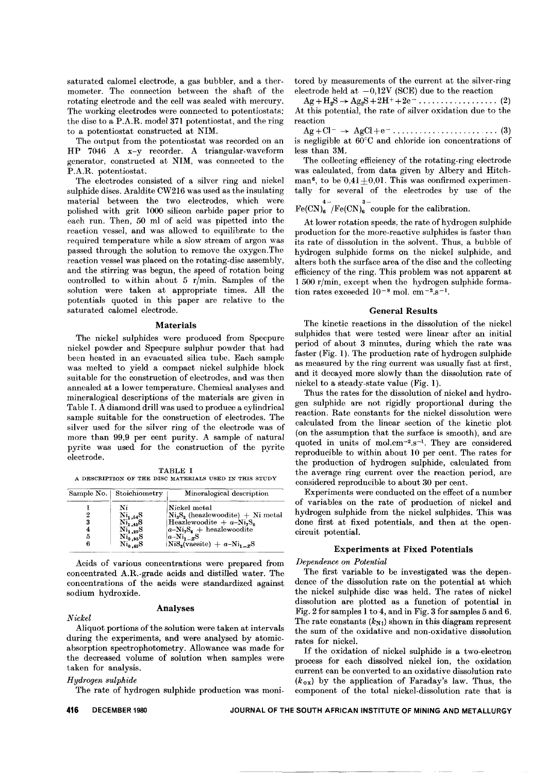saturated calomel electrode, a gas bubbler, and a thermometer. The connection between the shaft of the rotating electrode and the cell was sealed with mercury. The working electrodes were connected to potentiostats: the disc to a P.A.R. model 371 potentiostat, and the ring to a potentiostat constructed at NIM.

The output from the potentiostat was recorded on an HP 7046 A x-y recorder. A triangular-waveform generator, constructed at NIM, was connected to the P.A.R. potentiostat.

The electrodes consisted of a silver ring and nickel sulphide discs. Araldite CW216 was used as the insulating material between the two electrodes, which were polished with grit 1000 silicon carbide paper prior to each run. Then, 50 ml of acid was pipetted into the reaction vessel, and was allowed to equilibrate to the required temperature while a slow stream of argon was passed through the solution to remove the oxygen.The reaction vessel was placed on the rotating-disc assembly, and the stirring was begun, the speed of rotation being controlled to within about 5 r/min. Samples of the solution were taken at appropriate times. All the potentials quoted in this paper are relative to the saturated calomel electrode.

# Materials

The nickel sulphides were produced from Specpure nickel powder and Specpure sulphur powder that had been heated in an evacuated silica tube. Each sample was melted to yield a compact nickel sulphide block suitable for the construction of electrodes, and was then annealed at a lower temperature. Chemical analyses and mineralogical descriptions of the materials are given in Table I. A diamond drill was used to produce a cylindrical sample suitable for the construction of electrodes. The silver used for the silver ring of the eleetrode was of more than 99,9 per eent purity. A sample of natural pyrite was used for the eonstruction of the pyrite electrode.

TABLE I A DESCRIPTION OF THE DISC MATERIALS USED IN THIS STUDY

|   | Sample No.   Stoichiometry                | Mineralogical description          |
|---|-------------------------------------------|------------------------------------|
|   | Ni                                        | Nickel metal                       |
| 2 | $\mathrm{Ni}_{1,54}\mathrm{S}$            | $Ni3S2$ (heazlewoodite) + Ni metal |
| 3 | $\mathrm{Ni}^{\text{-}}_{1,45}\mathrm{S}$ | Heazlewoodite + $a-NizSz$          |
| 4 | $\mathrm{Ni_{1.20}S}$                     | $ a-Ni_2S_6 $ + heazlewoodite      |
| 5 | $Ni_{0.95}S$                              | $ a-Ni_{1-x}S $                    |
| 6 | $\mathrm{Ni}_{0.45}\mathrm{S}$            | $NiS_0(vaesite) + a-Ni1-rS$        |

Acids of various eoneentrations were prepared from coneentrated A.R.-grade aeids and distilled water. The eoncentrations of the acids were standardized against sodium hydroxide.

# *Nickel*

# Analyses

Aliquot portions of the solution were taken at intervals during the experiments, and were analysed by atomicabsorption speetrophotometry. Allowance was made for the decreased volume of solution when samples were taken for analysis.

# *Hydrogen sulphide*

The rate of hydrogen sulphide production was moni-

tored by measurements of the current at the silver-ring electrode held at  $-0.12V$  (SCE) due to the reaction

 $Ag + H_2S \rightarrow Ag_2S + 2H^+ + 2e^- \dots \dots \dots \dots \dots \dots \tag{2}$ At this potential, the rate of silver oxidation due to the reaction

Ag+Cl- --+ AgCl+e- "... (3) is negligible at  $60^{\circ}$ C and chloride ion concentrations of less than 3M.

The collecting efficiency of the rotating-ring electrode was calculated, from data given by Albery and Hitchman<sup>6</sup>, to be  $0.41 \pm 0.01$ . This was confirmed experimentally for several of the electrodes by use of the

 $Fe(CN)_6^{3-}$  couple for the calibration

At lower rotation speeds, the rate of hydrogen sulphide production for the more-reactive sulphides is faster than its rate of dissolution in the solvent. Thus, a bubble of hydrogen sulphide forms on the nickel sulphide, and alters both the surface area of the disc and the collecting efficiency of the ring. This problem was not apparent at 1 500 r/min, except when the hydrogen sulphide formation rates exceeded  $10^{-8}$  mol. cm<sup>-2</sup>.s<sup>-1</sup>.

# General Results

The kinetic reactions in the dissolution of the nickel sulphides that were tested were linear after an initial period of about 3 minutes, during which the rate was faster (Fig. 1). The production rate of hydrogen sulphide as measured by the ring current was usually fast at first, and it decayed more slowly than the dissolution rate of nickel to a steady-state value (Fig. 1).

Thus the rates for the dissolution of nickel and hydrogen sulphide are not rigidly proportional during the reaction. Rate constants for the nickel dissolution were calculated from the linear section of the kinetic plot (on the assumption that the surface is smooth), and are quoted in units of mol.cm $-2.5$ , They are considered reproducible to within about 10 per cent. The rates for the production of hydrogen sulphide, calculated from the average ring current over the reaction period, are considered reproducible to about 30 per cent.

Experiments were conducted on the effect of a number of variables on the rate of production of nickel and hydrogen sulphide from the nickel sulphides. This was done first at fixed potentials, and then at the opencircuit potential.

# Experiments at Fixed Potentials

# *Dependence on Potential*

The first variable to be investigated was the dependence of the dissolution rate on the potential at which the nickel sulphide disc was held. The rates of nickel dissolution are plotted as a function of potential in Fig. 2 for samples 1 to 4, and in Fig. 3 for samples 5 and 6. The rate constants  $(k_{N1})$  shown in this diagram represent the sum of the oxidative and non-oxidative dissolution rates for nickel.

If the oxidation of nickel sulphide is a two-electron process for each dissolved nickel ion, the oxidation current can be converted to an oxidative dissolution rate *(kox)* by the application of Faraday's law. Thus, the component of the total nickel-dissolution rate that is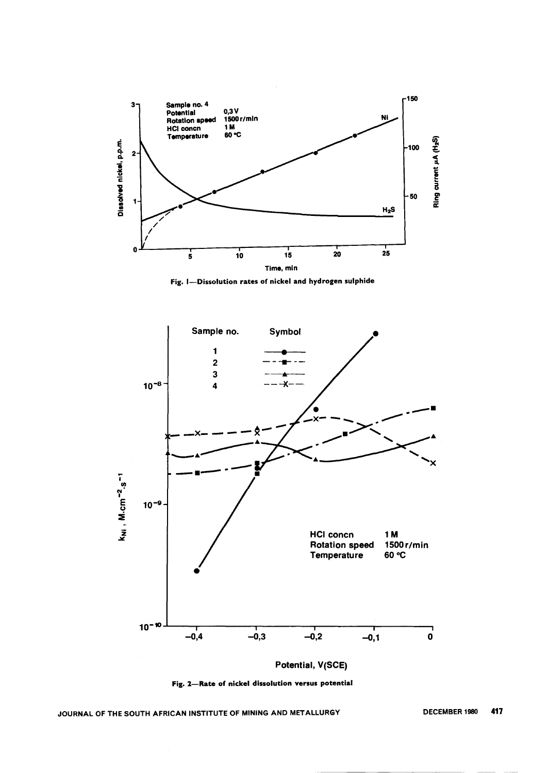

Fig. I-Dissolution rates of nickel and hydrogen sulphide



Fig. 2-Rate of nickel dissolution versus potential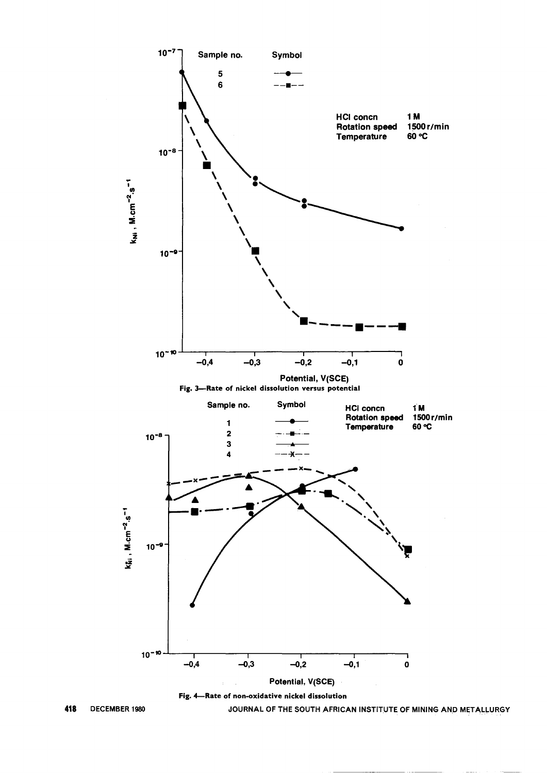

418 DECEMBER 1980 JOURNAL OF THE SOUTH AFRICAN INSTITUTE OF MINING AND METALLURGY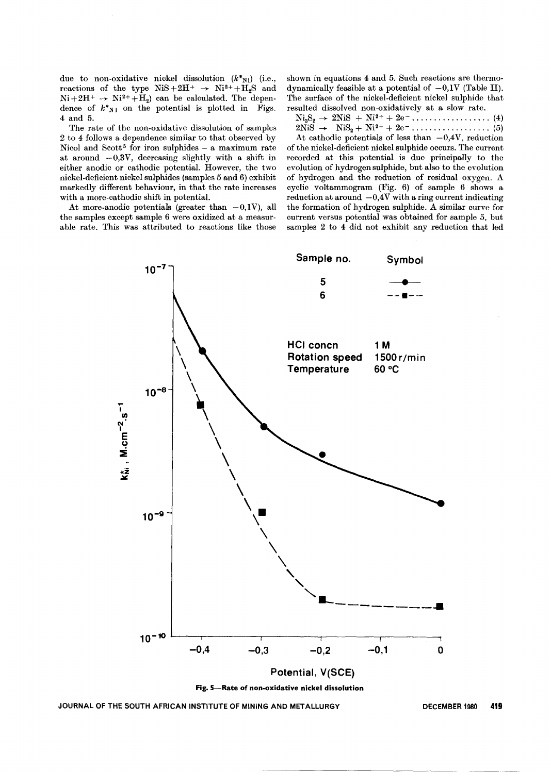due to non-oxidative nickel dissolution  $(k^*_{N_1})$  (i.e., reactions of the type  $NiS+2H^+ \rightarrow Ni^2+H_sS$  and  $Ni+2H^+ \rightarrow Ni^{2+}+H_2$ ) can be calculated. The dependence of  $k^*_{N}$  on the potential is plotted in Figs. 4 and 5.

The rate of the non-oxidative dissolution of samples 2 to 4 follows a dependence similar to that observed by Nicol and Scott<sup>5</sup> for iron sulphides  $-$  a maximum rate at around  $-0.3V$ , decreasing slightly with a shift in either anodic or cathodic potential. However, the two nickel-deficient nickel sulphides (samples 5 and 6) exhibit markedly different behaviour, in that the rate increases with a more-cathodic shift in potential.

At more-anodic potentials (greater than  $-0.1V$ ), all the samples except sample 6 were oxidized at a measurable rate. This was attributed to reactions like those shown in equations 4 and 5. Such reactions are thermodynamically feasible at a potential of  $-0.1V$  (Table II). The surface of the nickel-deficient nickel sulphide that resulted dissolved non-oxidatively at a slow rate.

 $N_3S_2 \rightarrow 2N_1S + N_1^2 + 2e^2$ <br>  $2N_1S \rightarrow N_1S_2 + N_1^2 + 2e^2$ <br>  $4(5)$ 

At cathodic potentials of less than  $-0.4V$ , reduction of the nickel-deficient nickel sulphide occurs. The current recorded at this potential is due principally to the evolution of hydrogen sulphide, but also to the evolution of hydrogen and the reduction of residual oxygen. A cyclic voltammogram (Fig. 6) of sample 6 shows a reduction at around  $-0.4V$  with a ring current indicating the formation of hydrogen sulphide. A similar curve for current versus potential was obtained for sample 5, but samples 2 to 4 did not exhibit any reduction that led



JOURNAL OF THE SOUTH AFRICAN INSTITUTE OF MINING AND METALLURGY DECEMBER 1980 419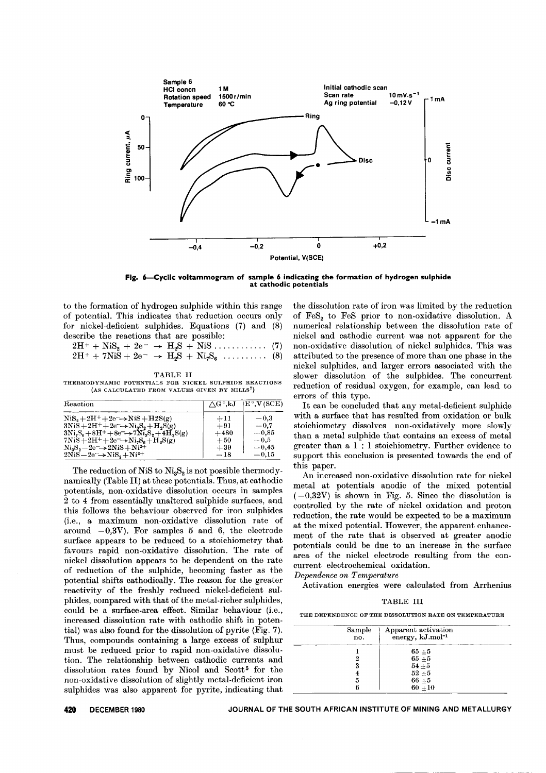

Fig. 6-Cyclic voltammogram of sample 6 indicating the formation of hydrogen sulphide at cathodic potentials

to the formation of hydrogen sulphide within this range of potential. This indicates that reduction occurs only for nickel-deficient sulphides. Equations (7) and (8) describe the reactions that are possible:

| $2H^+ + NiS_2 + 2e^- \rightarrow H_2S + NiS \dots$ (7)    |  |  |  |  |  |
|-----------------------------------------------------------|--|--|--|--|--|
| $2H^+ + 7NiS + 2e^- \rightarrow H_2S + Ni_7S_6 \dots$ (8) |  |  |  |  |  |

#### TABLE Il

THERMODYNAMIC POTENTIALS FOR NICKEL SULPHIDE REACTIONS (AS CALCULATED FROM VALUES GIVEN BY MILLS')

| Reaction                                                                              | $\bigwedge \mathrm{G}$ $^\circ$ ,kJ | $ E^{\circ}, V(SCE) $ |
|---------------------------------------------------------------------------------------|-------------------------------------|-----------------------|
| $\text{NiS}_2 + 2\text{H}^+ + 2\text{e}^- \rightarrow \text{NiS} + \text{H2S(g)}$     | $+11$                               | $-0.3\,$              |
| $3NiS+2H^+ + 2e^- \rightarrow Ni_3S_2 + H_2S(g)$                                      | $+91$                               | $-0.7$                |
| $3Ni_2S_6 + 8H^+ + 8e^- \rightarrow 7Ni_3S_2 + 4H_2S(g)$                              | $+480$                              | $-0.85$               |
| $7NiS+2H^++2e^-\rightarrow Ni_2S_6+H_2S(g)$                                           | $+50$                               | $-0.5$                |
| $\text{Ni}_3\text{S}_2 - 2\text{e}^- \rightarrow 2\text{Ni}\text{S} + \text{Ni}^{2+}$ | $+39$                               | $-0.45$               |
| $2NiS-2e^- \rightarrow NiS_s + Ni^{2+}$                                               | $-18$                               | $-0.15$               |

The reduction of NiS to  $Ni<sub>3</sub>S<sub>2</sub>$  is not possible thermodynamically (Table 11) at these potentials. Thus, at cathodic potentials, non-oxidative dissolution occurs in samples 2 to 4 from essentially unaltered sulphide surfaces, and this follows the behaviour observed for iron sulphides (i.e., a maximum non-oxidative dissolution rate of around  $-0.3V$ ). For samples 5 and 6, the electrode surface appears to be reduced to a stoichiometry that favours rapid non-oxidative dissolution. The rate of nickel dissolution appears to be dependent on the rate of reduction of the sulphide, becoming faster as the potential shifts cathodically. The reason for the greater reactivity of the freshly reduced nickel-deficient sulphides, compared with that of the metal-richer sulphides, could be a surface-area effect. Similar behaviour (i.e., increased dissolution rate with cathodic shift in potential) was also found for the dissolution of pyrite (Fig. 7). Thus, compounds containing a large excess of sulphur must be reduced prior to rapid non-oxidative dissolution. The relationship between cathodic currents and dissolution rates found by Nicol and Scott<sup>5</sup> for the non-oxidative dissolution of slightly metal-deficient iron sulphides was also apparent for pyrite, indicating that

the dissolution rate of iron was limited by the reduction of FeS<sub>2</sub> to FeS<sub>2</sub> prior to non-oxidative dissolution. A numerical relationship between the dissolution rate of nickel and cathodic current was not apparent for the non-oxidative dissolution of nickel sulphides. This was attributed to the presence of more than one phase in the nickel sulphides, and larger errors associated with the slower dissolution of the sulphides. The concurrent reduction of residual oxygen, for example, can lead to errors of this type.

It can be concluded that any metal-deficient sulphide with a surface that has resulted from oxidation or bulk stoichiometry dissolves non-oxidatively more slowly than a metal sulphide that contains an excess of metal greater than a 1 : 1 stoichiometry. Further evidence to support this conclusion is presented towards the end of this paper.

An increased non-oxidative dissolution rate for nickel metal at potentials anodic of the mixed potential  $(-0.32V)$  is shown in Fig. 5. Since the dissolution is controlled by the rate of nickel oxidation and proton reduction, the rate would be expected to be a maximum at the mixed potential. However, the apparent enhancement of the rate that is observed at greater anodic potentials could be due to an increase in the surface area of the nickel electrode resulting from the concurrent electrochemical oxidation.

*Dependence on Temperature*

Activation energies were calculated from Arrhenius

TABLE III

THE DEPENDENCE OF THE DISSOLUTION RATE ON TEMPERATURE

| Sample<br>no. | Apparent activation<br>energy, kJ.mol <sup>-1</sup> |  |
|---------------|-----------------------------------------------------|--|
|               | $65 + 5$                                            |  |
| 2             | $65+5$                                              |  |
| 3             | $54 + 5$                                            |  |
|               | $52 + 5$                                            |  |
| 5             | $66 + 5$                                            |  |
| Р             | $60 + 10$                                           |  |

**420** DECEMBER <sup>1980</sup> JOURNAL OF THE SOUTH AFRICAN INSTITUTE OF MINING AND METALLURGY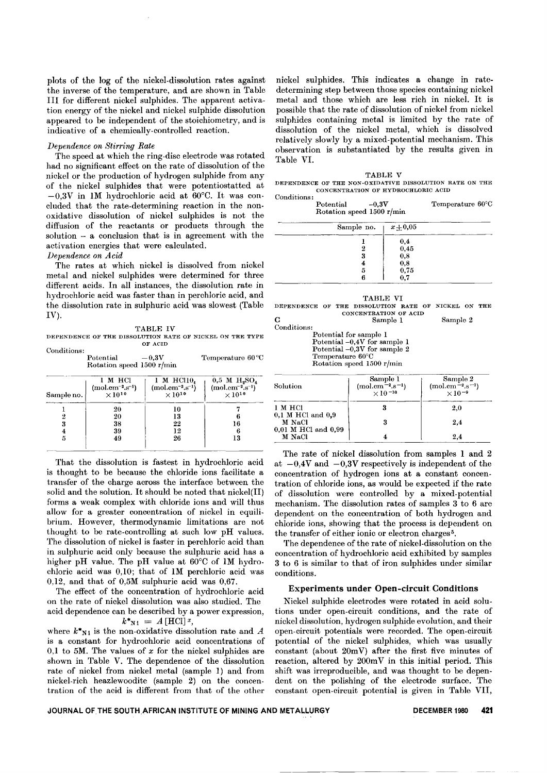plots of the log of the nickel-dissolution rates against the inverse of the temperature, and are shown in Table III for different nickel sulphides. The apparent activation energy of the nickel and nickel sulphide dissolution appeared to be independent of the stoichiometry, and is indicative of a chemically-controlled reaction.

# *Dependence on Stirring Rate*

The speed at which the ring-disc electrode was rotated had no significant effect on the rate of dissolution of the nickel or the production of hydrogen sulphide from any of the nickel sulphides that were potentiostatted at  $-0.3V$  in 1M hydrochloric acid at 60°C. It was concluded that the rate-determining reaction in the nonoxidative dissolution of nickel sulphides is not the diffusion of the reactants or products through the solution  $-$  a conclusion that is in agreement with the activation energies that were calculated.

*Dependence on Acid*

The rates at which nickel is dissolved from nickel metal and nickel sulphides were determined for three different acids. In all instances, the dissolution rate in hydrochloric acid was faster than in perchloric acid, and the dissolution rate in sulphuric acid was slowest (Table  $IV$ ).

TABLE IV

DEPENDENCE OF THE DISSOLUTION RATE OF NICKEL ON THE TYPE OF ACID

| Conditions:                            | Potential<br>Rotation speed 1500 r/min                 | $-0.3V$                                                        | Temperature 60 °C                                                                     |
|----------------------------------------|--------------------------------------------------------|----------------------------------------------------------------|---------------------------------------------------------------------------------------|
| Sample no.                             | 1 M HCl<br>$(mod .cm^{-2}.s^{-1})$<br>$\times 10^{10}$ | $1$ M HCl10.<br>$(mod . cm^{-2} . s^{-1})$<br>$\times 10^{10}$ | $0.5$ M $H_{2}SO_{4}$<br>$\frac{\text{(mol.cm}^{-2} \text{.s}^{-1})}{\times 10^{10}}$ |
| 2<br>3<br>$\overline{\mathbf{4}}$<br>5 | 20<br>20<br>38<br>39<br>49                             | 10<br>13<br>22<br>12<br>26                                     | 16<br>13                                                                              |

That the dissolution is fastest in hydrochloric acid is thought to be because the chloride ions facilitate a transfer of the charge across the interface between the solid and the solution. It should be noted that  $n$ ickel $(II)$ forms a weak complex with chloride ions and will thus allow for a greater concentration of nickel in equilibrium. However, thermodynamic limitations are not thought to be rate-controlling at such low pH values. The dissolution of nickel is faster in perchloric acid than in sulphuric acid only because the sulphuric acid has a higher pH value. The pH value at 60°C of 1M hydrochloric acid was 0,10; that of 1M perchloric acid was 0,12, and that of 0,5M sulphuric acid was 0,67.

The effect of the concentration of hydrochloric acid on the rate of nickel dissolution was also studied. The acid dependence can be described by a power expression,

$$
k^*_{\mathbf{N1}}\,=\,A\,[\mathrm{HCl}] \,{}^x,
$$

where  $k^*_{N}$  is the non-oxidative dissolution rate and *A* is a constant for hydrochloric acid concentrations of 0,1 to 5M. The values of *x* for the nickel sulphides are shown in Table V. The dependence of the dissolution rate of nickel from nickel metal (sample I) and from nickel-rich heazlewoodite (sample 2) on the concentration of the acid is different from that of the other

nickel sulphides. This indicates a change in ratedetermining step between those species containing nickel metal and those which are less rich in nickel. It is possible that the rate of dissolution of nickel from nickel sulphides containing metal is limited by the rate of dissolution of the nickel metal, which is dissolved relatively slowly by a mixed-potential mechanism. This observation is substantiated by the results given in Table VI.

TABLE V DEPENDENCE OF THE NON-OXIDATIVE DISSOLUTION RATE ON THE CONCENTRATION OF HYDROCHLORIC ACID

| Conditions: |                           |         |                            |  |
|-------------|---------------------------|---------|----------------------------|--|
|             | Potential                 | $-0.3V$ | Temperature $60^{\circ}$ C |  |
|             | Rotation speed 1500 r/min |         |                            |  |
|             |                           |         |                            |  |

| Sample no. $x \pm 0.05$ |                                             |
|-------------------------|---------------------------------------------|
|                         | $\!\!\!\begin{array}{c}0,4\0,45\end{array}$ |
|                         | 0,8                                         |
| 5                       | $0,8$<br>$0,75$                             |
|                         | ሰ 7                                         |

| TABLE VI |  |  |                                                     |  |  |  |  |
|----------|--|--|-----------------------------------------------------|--|--|--|--|
|          |  |  | DEPENDENCE OF THE DISSOLUTION RATE OF NICKEL ON THE |  |  |  |  |
|          |  |  | CONCENTRATION OF ACID                               |  |  |  |  |

Sample 1 Sample 2 Conditions: Potential for sample 1

Potential -0,4V for sample 1 Potential -0,3V for sample 2 Temperature 60°C Rotation speed 1500 r/min

| Solution                         | Sample 1<br>$(mol.cm-2.s-1)$<br>$\times 10^{-10}$ | Sample 2<br>$(mol.cm-2.s-1)$<br>$\times$ 10 <sup>-9</sup> |
|----------------------------------|---------------------------------------------------|-----------------------------------------------------------|
| 1 M HCl<br>$0,1$ M HCl and $0,9$ |                                                   | $2.0\,$                                                   |
| M NaCl<br>0,01 M HCl and 0,99    | 3                                                 | $2.4\,$                                                   |
| M NaCl                           |                                                   | $2.4\,$                                                   |

The rate of nickel dissolution from samples I and 2 at  $-0.4V$  and  $-0.3V$  respectively is independent of the concentration of hydrogen ions at a constant concentration of chloride ions, as would be expected if the rate of dissolution were controlled by a mixed-potential mechanism. The dissolution rates of samples 3 to 6 are dependent on the concentration of both hydrogen and chloride ions, showing that the process is dependent on the transfer of either ionic or electron charges<sup>5</sup>.

The dependence of the rate of nickel-dissolution on the concentration of hydrochloric acid exhibited by samples 3 to 6 is similar to that of iron sulphides under similar conditions.

# Experiments under Open-circuit Conditions

Nickel sulphide electrodes were rotated in acid solutions under open-circuit conditions, and the rate of nickel dissolution, hydrogen sulphide evolution, and their open-circuit potentials were recorded. The open-circuit potential of the nickel sulphides, which was usually constant (about  $20mV$ ) after the first five minutes of reaction, altered by  $200mV$  in this initial period. This shift was irreproducible, and was thought to be dependent on the polishing of the electrode surface. The constant open-circuit potential is given in Table VII,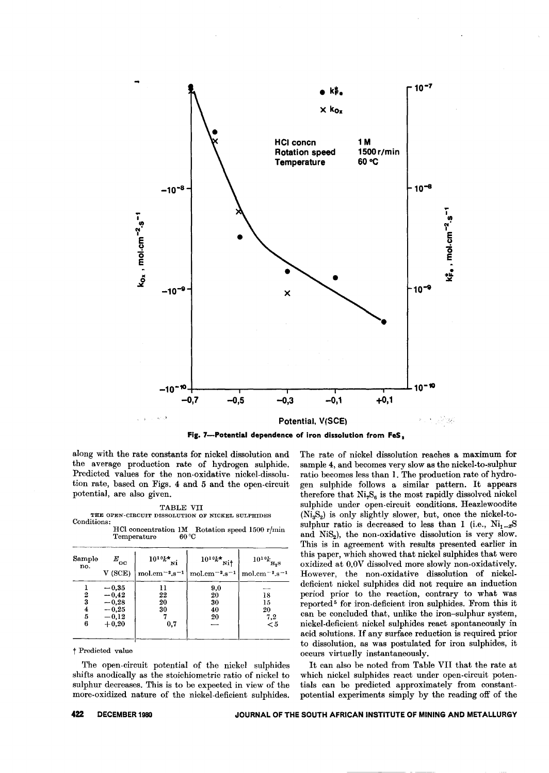

Fig. 7-Potential dependence of iron dissolution from FeS,

along with the rate constants for nickel dissolution and the average production rate of hydrogen sulphide. Predicted values for the non-oxidative nickel-dissolution rate, based on Figs. 4 and 5 and the open-circuit potential, are also given.

#### TABLE VII

THE OPEN-CIRCUIT DISSOLUTION OF NICKEL SULPHIDES Conditions:

HCl concentration 1M Rotation speed 1500 r/min  $60^{\circ}$ C Temperature

| Sample                | $E_{_{\rm OC}}$                                                | $10^{10}k^{\star}$ <sub>Ni</sub> | $10^{10}k^{*}$ <sub>Nit</sub>   | $10^{10}k_{\textbf{H}_{2}\textbf{S}}$                           |
|-----------------------|----------------------------------------------------------------|----------------------------------|---------------------------------|-----------------------------------------------------------------|
| no.                   | V(SCE)                                                         | $mol.cm^{-2}.s^{-1}$             | mol.cm $^{-2}$ .s <sup>-1</sup> | mol.cm <sup><math>-2</math></sup> .s <sup><math>-1</math></sup> |
| 2<br>3<br>4<br>5<br>6 | $-0,35$<br>$-0,42$<br>$-0,28$<br>$-0,25$<br>$-0,12$<br>$+0.20$ | 11<br>22<br>20<br>30<br>0,7      | 9,0<br>20<br>30<br>40<br>20     | 18<br>15<br>20<br>7,2<br>$\leq 5$                               |

# † Predicted value

The open-circuit potential of the nickel sulphides shifts anodically as the stoichiometric ratio of nickel to sulphur decreases. This is to be expected in view of the more-oxidized nature of the nickel-deficient sulphides. The rate of nickel dissolution reaches a maximum for sample 4, and becomes very slow as the nickel-to-sulphur ratio becomes less than 1. The production rate of hydrogen sulphide follows a similar pattern. It appears therefore that  $Ni_7S_6$  is the most rapidly dissolved nickel sulphide under open-circuit conditions. Heazlewoodite  $(Ni_3S_2)$  is only slightly slower, but, once the nickel-tosulphur ratio is decreased to less than I (i.e.,  $Ni_{1-x}S$ and NiS<sub>2</sub>), the non-oxidative dissolution is very slow. This is in agreement with results presented earlier in this paper, which showed that nickel sulphides that were oxidized at 0.0V dissolved more slowly non-oxidatively. However, the non-oxidative dissolution of nickeldeficient nickel sulphides did not require an induction period prior to the reaction, contrary to what was reported<sup>5</sup> for iron-deficient iron sulphides. From this it can be concluded that, unlike the iron-sulphur system, nickel-deficient nickel sulphides react spontaneously in acid solutions. If any surface reduction is required prior to dissolution, as was postulated for iron sulphides, it occurs virtually instantaneously.

It can also be noted from Table VII that the rate at which nickel sulphides react under open-circuit potentials can be predicted approximately from constantpotential experiments simply by the reading off of the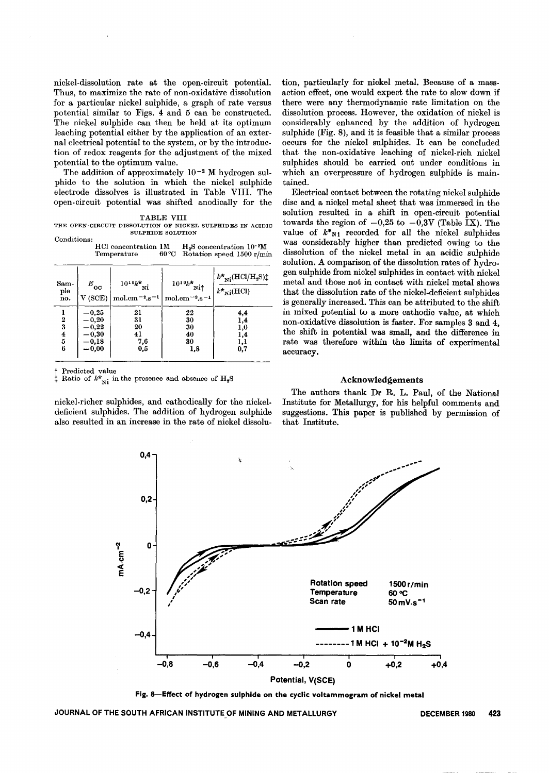nickel-dissolution rate at the open-circuit potential. Thus, to maximize the rate of non-oxidative dissolution for a particular nickel sulphide, a graph of rate versus potential similar to Figs. 4 and 5 can be constructed. The nickel sulphide can then be held at its optimum leaching potential either by the application of an external electrical potential to the system, or by the introduction of redox reagents for the adjustment of the mixed potential to the optimum value.

The addition of approximately  $10^{-2}$  M hydrogen sulphide to the solution in which the nickel sulphide electrode dissolves is illustrated in Table VIII. The open-circuit potential was shifted anodically for the

|  | TABLE | VT |  |
|--|-------|----|--|
|  |       |    |  |

TABLE VIII<br>THE OPEN-CIRCUIT DISSOLUTION OF NICKEL SULPHIDES IN ACIDI SULPHIDE SOLUTION Conditions:

| ----------- |                      |                                          |
|-------------|----------------------|------------------------------------------|
|             | HCl concentration 1M | $H2S$ concentration 10 <sup>-2</sup> M   |
|             | Temperature          | $60^{\circ}$ C Rotation speed 1500 r/min |

| Sam-<br>ple<br>no.                   | $E_{\rm oo}$<br>V(SCE)                                              | $10^{10}k^{\star}$ Ni<br>$\mathrm{mol.cm^{-2}}$ .s <sup>-1</sup> | $10^{10}k^*$<br>ni†<br>mol.cm $^{-2}$ .s <sup>-1</sup> | $k\text{*}_{\rm Ni}(\rm HCl/H_2S)\ddagger$<br>$k_{\mathrm{Ni}}^{\star}(\mathrm{HCl})$ |  |
|--------------------------------------|---------------------------------------------------------------------|------------------------------------------------------------------|--------------------------------------------------------|---------------------------------------------------------------------------------------|--|
| $\boldsymbol{2}$<br>3<br>4<br>5<br>6 | $^{\rm -0.25}$<br>$-0,20$<br>$-0,22$<br>$-0,30$<br>-0,18<br>$-0,00$ | 21<br>31<br>20<br>41<br>7,6<br>0,5                               | 22<br>30<br>30<br>40<br>30<br>1,8                      | 4,4<br>1,4<br>1,0<br>1,4<br>ı,ı<br>0,7                                                |  |

Predicted value

Ratio of  $k^*_{\text{Ni}}$  in the presence and absence of  $\text{H}_2\text{S}$ 

nickel-richer sulphides, and cathodically for the nickel. deficient sulphides. The addition of hydrogen sulphide also resulted in an increase in the rate of nickel dissolution, particularly for nickel metal. Because of a massaction effect, one would expect the rate to slow down if there were any thermodynamic rate limitation on the dissolution process. However, the oxidation of nickel is considerably enhanced by the addition of hydrogen sulphide (Fig. 8), and it is feasible that a similar process occurs for the nickel sulphides. It can be concluded that the non-oxidative leaching of nickel-rich nickel sulphides should be carried out under conditions in which an overpressure of hydrogen sulphide is maintained.

Electrical contact between the rotating nickel sulphide disc and a nickel metal sheet that was immersed in the solution resulted in a shift in open-circuit potential towards the region of  $-0.25$  to  $-0.3V$  (Table IX). The value of  $k^*_{N1}$  recorded for all the nickel sulphides was considerably higher than predicted owing to the dissolution of the nickel metal in an acidic sulphide solution. A comparison of the dissolution rates of hydrogen sulphide from nickel sulphides in contact with nickel metal and those not in contact with nickel metal shows that the dissolution rate of the nickel-deficient sulphides is generally increased. This can be attributed to the shift in mixed potential to a more cathodic value, at which non-oxidative dissolution is faster. For samples 3 and 4, the shift in potential was small, and the difference in rate was therefore within the limits of experimental accuracy.

# Acknowledgements

The authors thank Dr R. L. Paul, of the National Institute for Metallurgy, for his helpful comments and suggestions. This paper is published by permission of that Institute.